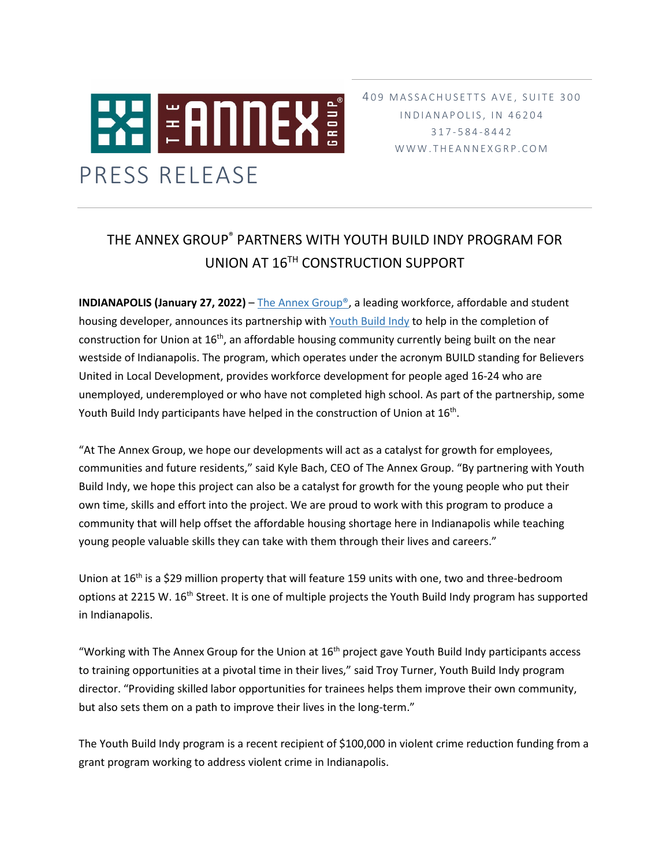

4 09 MASSACHUSETTS AVE, SUITE 300 INDIANAPOLIS, IN 46204 317 - 584 - 8442 WWW.THEANNEXGRP.COM

## THE ANNEX GROUP® PARTNERS WITH YOUTH BUILD INDY PROGRAM FOR UNION AT 16<sup>TH</sup> CONSTRUCTION SUPPORT

**INDIANAPOLIS (January 27, 2022)** – [The Annex Group®,](https://www.theannexgrp.com/) a leading workforce, affordable and student housing developer, announces its partnership with [Youth Build Indy](https://youthbuildindy.weebly.com/) to help in the completion of construction for Union at 16<sup>th</sup>, an affordable housing community currently being built on the near westside of Indianapolis. The program, which operates under the acronym BUILD standing for Believers United in Local Development, provides workforce development for people aged 16-24 who are unemployed, underemployed or who have not completed high school. As part of the partnership, some Youth Build Indy participants have helped in the construction of Union at  $16<sup>th</sup>$ .

"At The Annex Group, we hope our developments will act as a catalyst for growth for employees, communities and future residents," said Kyle Bach, CEO of The Annex Group. "By partnering with Youth Build Indy, we hope this project can also be a catalyst for growth for the young people who put their own time, skills and effort into the project. We are proud to work with this program to produce a community that will help offset the affordable housing shortage here in Indianapolis while teaching young people valuable skills they can take with them through their lives and careers."

Union at 16<sup>th</sup> is a \$29 million property that will feature 159 units with one, two and three-bedroom options at 2215 W. 16<sup>th</sup> Street. It is one of multiple projects the Youth Build Indy program has supported in Indianapolis.

"Working with The Annex Group for the Union at  $16<sup>th</sup>$  project gave Youth Build Indy participants access to training opportunities at a pivotal time in their lives," said Troy Turner, Youth Build Indy program director. "Providing skilled labor opportunities for trainees helps them improve their own community, but also sets them on a path to improve their lives in the long-term."

The Youth Build Indy program is a recent recipient of \$100,000 in violent crime reduction funding from a grant program working to address violent crime in Indianapolis.